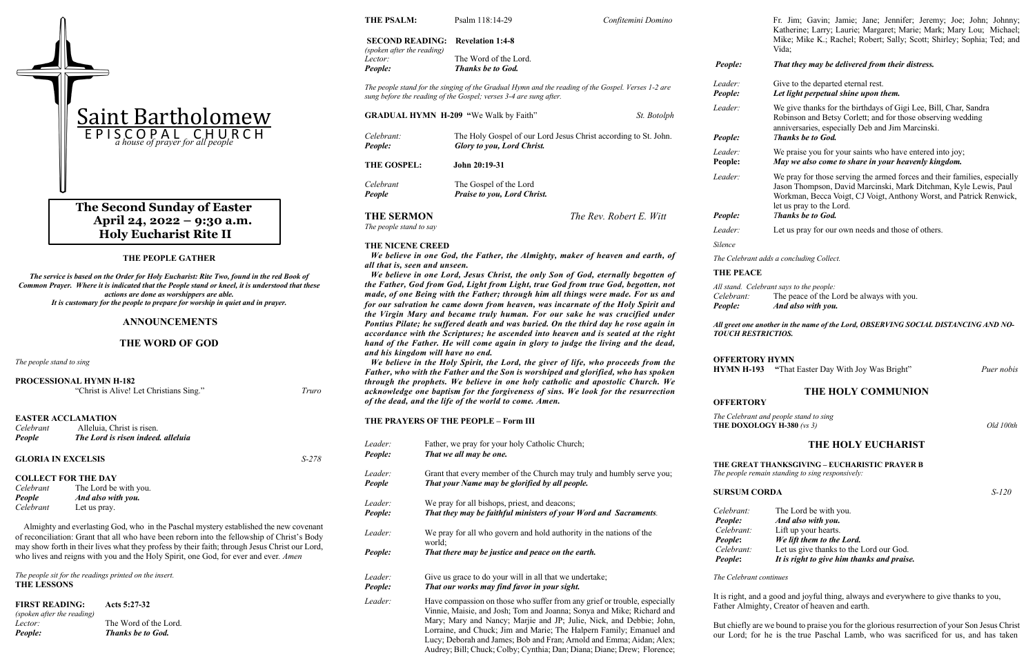#### **THE PEOPLE GATHER**

*The service is based on the Order for Holy Eucharist: Rite Two, found in the red Book of Common Prayer. Where it is indicated that the People stand or kneel, it is understood that these actions are done as worshippers are able. It is customary for the people to prepare for worship in quiet and in prayer.*

#### **ANNOUNCEMENTS**

#### **THE WORD OF GOD**

*The people stand to sing*

|               | <b>PROCESSIONAL HYMN H-182</b><br>"Christ is Alive! Let Christians Sing." | Truro |
|---------------|---------------------------------------------------------------------------|-------|
|               | <b>EASTER ACCLAMATION</b>                                                 |       |
| Celebrant     | Alleluia. Christ is risen.                                                |       |
| <b>People</b> | The Lord is risen indeed. alleluia                                        |       |

| <b>GLORIA IN EXCELSIS</b> |                            |  |  |  |
|---------------------------|----------------------------|--|--|--|
|                           | <b>COLLECT FOR THE DAY</b> |  |  |  |
| Celebrant                 | The Lord be with you.      |  |  |  |
| People                    | And also with you.         |  |  |  |
| Celebrant                 | Let us pray.               |  |  |  |

 Almighty and everlasting God, who in the Paschal mystery established the new covenant of reconciliation: Grant that all who have been reborn into the fellowship of Christ's Body may show forth in their lives what they profess by their faith; through Jesus Christ our Lord, who lives and reigns with you and the Holy Spirit, one God, for ever and ever*. Amen*

*The people sit for the readings printed on the insert.* **THE LESSONS**

| <b>FIRST READING:</b>      | Acts $5:27-32$           |
|----------------------------|--------------------------|
| (spoken after the reading) |                          |
| Lector:                    | The Word of the Lord.    |
| People:                    | <b>Thanks be to God.</b> |

**THE PSALM:** Psalm 118:14-29*Confitemini Domino*

*Leader:* We give thanks for the birthdays of Gigi Lee, Bill, Char, Sandra Robinson and Betsy Corlett; and for those observing wedding anniversaries, especially Deb and Jim Marcinski. *People: Thanks be to God.*

*The Celebrant and people stand to sing*  **THE DOXOLOGY H-380** *(vs 3)* Old 100th

# **The Second Sunday of Easter April 24, 2022 – 9:30 a.m. Holy Eucharist Rite II**

**SECOND READING: Revelation 1:4-8** *(spoken after the reading) Lector:* The Word of the Lord. *People: Thanks be to God. The people stand for the singing of the Gradual Hymn and the reading of the Gospel. Verses 1-2 are sung before the reading of the Gospel; verses 3-4 are sung after.* **GRADUAL HYMN H-209 "**We Walk by Faith" *St. Botolph Celebrant:* The Holy Gospel of our Lord Jesus Christ according to St. John. *People: Glory to you, Lord Christ.* **THE GOSPEL: John 20:19-31** *Celebrant* The Gospel of the Lord *People Praise to you, Lord Christ.* **THE SERMON** *The Rev. Robert E. Witt The people stand to say* **THE NICENE CREED** *We believe in one God, the Father, the Almighty, maker of heaven and earth, of all that is, seen and unseen. We believe in one Lord, Jesus Christ, the only Son of God, eternally begotten of the Father, God from God, Light from Light, true God from true God, begotten, not made, of one Being with the Father; through him all things were made. For us and for our salvation he came down from heaven, was incarnate of the Holy Spirit and the Virgin Mary and became truly human. For our sake he was crucified under Pontius Pilate; he suffered death and was buried. On the third day he rose again in accordance with the Scriptures; he ascended into heaven and is seated at the right hand of the Father. He will come again in glory to judge the living and the dead, and his kingdom will have no end. We believe in the Holy Spirit, the Lord, the giver of life, who proceeds from the Father, who with the Father and the Son is worshiped and glorified, who has spoken through the prophets. We believe in one holy catholic and apostolic Church. We acknowledge one baptism for the forgiveness of sins. We look for the resurrection of the dead, and the life of the world to come. Amen.* **THE PRAYERS OF THE PEOPLE – Form III** *Leader:* Father, we pray for your holy Catholic Church; *People: That we all may be one. Leader:* Grant that every member of the Church may truly and humbly serve you; *People That your Name may be glorified by all people. Silence* **THE PEACE**

| Leader:<br>People: | We pray for all bishops, priest, and deacons;<br>That they may be faithful ministers of your Word and Sacraments.                                                                                                                                                                                                                                                                                                                   |  |  |
|--------------------|-------------------------------------------------------------------------------------------------------------------------------------------------------------------------------------------------------------------------------------------------------------------------------------------------------------------------------------------------------------------------------------------------------------------------------------|--|--|
| Leader:            | We pray for all who govern and hold authority in the nations of the<br>world:                                                                                                                                                                                                                                                                                                                                                       |  |  |
| People:            | That there may be justice and peace on the earth.                                                                                                                                                                                                                                                                                                                                                                                   |  |  |
| Leader:<br>People: | Give us grace to do your will in all that we undertake;<br>That our works may find favor in your sight.                                                                                                                                                                                                                                                                                                                             |  |  |
| Leader:            | Have compassion on those who suffer from any grief or trouble, especially<br>Vinnie, Maisie, and Josh; Tom and Joanna; Sonya and Mike; Richard and<br>$M_{\odot}$ and $M_{\odot}$ and $M_{\odot}$ and $M_{\odot}$ in the set of $M_{\odot}$ in the set of $M_{\odot}$ in $M_{\odot}$ in the set of $M_{\odot}$ in $M_{\odot}$ in $M_{\odot}$ in $M_{\odot}$ in $M_{\odot}$ in $M_{\odot}$ in $M_{\odot}$ in $M_{\odot}$ in $M_{\od$ |  |  |

Mary; Mary and Nancy; Marjie and JP; Julie, Nick, and Debbie; John, Lorraine, and Chuck; Jim and Marie; The Halpern Family; Emanuel and Lucy; Deborah and James; Bob and Fran; Arnold and Emma; Aidan; Alex; Audrey; Bill; Chuck; Colby; Cynthia; Dan; Diana; Diane; Drew; Florence;

Fr. Jim; Gavin; Jamie; Jane; Jennifer; Jeremy; Joe; John; Johnny; Katherine; Larry; Laurie; Margaret; Marie; Mark; Mary Lou; Michael; Mike; Mike K.; Rachel; Robert; Sally; Scott; Shirley; Sophia; Ted; and Vida;

*People: That they may be delivered from their distress.*

*Leader:* Give to the departed eternal rest. *People: Let light perpetual shine upon them.*

*Leader:* We praise you for your saints who have entered into joy; **People:** *May we also come to share in your heavenly kingdom.*

*Leader:* We pray for those serving the armed forces and their families, especially Jason Thompson, David Marcinski, Mark Ditchman, Kyle Lewis, Paul Workman, Becca Voigt, CJ Voigt, Anthony Worst, and Patrick Renwick, let us pray to the Lord. *People: Thanks be to God.*

*Leader:* Let us pray for our own needs and those of others.

*The Celebrant adds a concluding Collect.*

*All stand. Celebrant says to the people:*

*Celebrant:* The peace of the Lord be always with you. *People: And also with you.*

*All greet one another in the name of the Lord, OBSERVING SOCIAL DISTANCING AND NO-TOUCH RESTRICTIOS.* 

**OFFERTORY HYMN**

**HYMN H-193 "**That Easter Day With Joy Was Bright" *Puer nobis*

### **THE HOLY COMMUNION**

# **OFFERTORY**

# **THE HOLY EUCHARIST**

# **THE GREAT THANKSGIVING – EUCHARISTIC PRAYER B**

*The people remain standing to sing responsively:* 

# **SURSUM CORDA** *S-120*

*Celebrant:* The Lord be with you. *People: And also with you. Celebrant:* Lift up your hearts. *People***:** *We lift them to the Lord. Celebrant:* Let us give thanks to the Lord our God. *People***:** *It is right to give him thanks and praise.*

*The Celebrant continues*

It is right, and a good and joyful thing, always and everywhere to give thanks to you, Father Almighty, Creator of heaven and earth.

But chiefly are we bound to praise you for the glorious resurrection of your Son Jesus Christ our Lord; for he is the true Paschal Lamb, who was sacrificed for us, and has taken